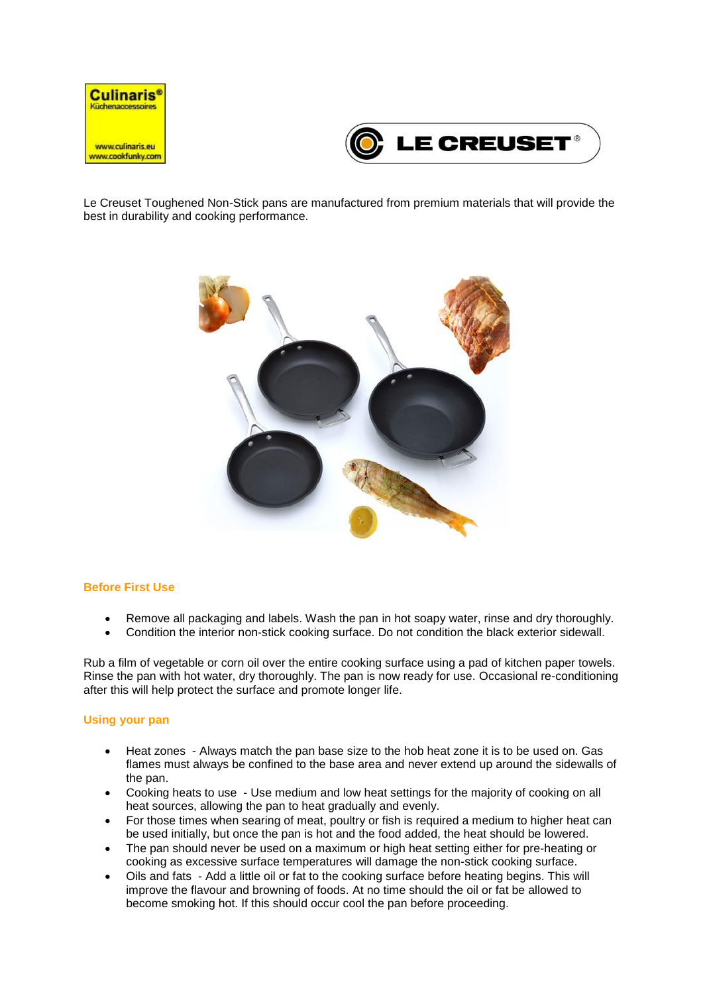



Le Creuset Toughened Non-Stick pans are manufactured from premium materials that will provide the best in durability and cooking performance.



## **Before First Use**

- Remove all packaging and labels. Wash the pan in hot soapy water, rinse and dry thoroughly.
- Condition the interior non-stick cooking surface. Do not condition the black exterior sidewall.

Rub a film of vegetable or corn oil over the entire cooking surface using a pad of kitchen paper towels. Rinse the pan with hot water, dry thoroughly. The pan is now ready for use. Occasional re-conditioning after this will help protect the surface and promote longer life.

## **Using your pan**

- Heat zones Always match the pan base size to the hob heat zone it is to be used on. Gas flames must always be confined to the base area and never extend up around the sidewalls of the pan.
- Cooking heats to use Use medium and low heat settings for the majority of cooking on all heat sources, allowing the pan to heat gradually and evenly.
- For those times when searing of meat, poultry or fish is required a medium to higher heat can be used initially, but once the pan is hot and the food added, the heat should be lowered.
- The pan should never be used on a maximum or high heat setting either for pre-heating or cooking as excessive surface temperatures will damage the non-stick cooking surface.
- Oils and fats Add a little oil or fat to the cooking surface before heating begins. This will improve the flavour and browning of foods. At no time should the oil or fat be allowed to become smoking hot. If this should occur cool the pan before proceeding.